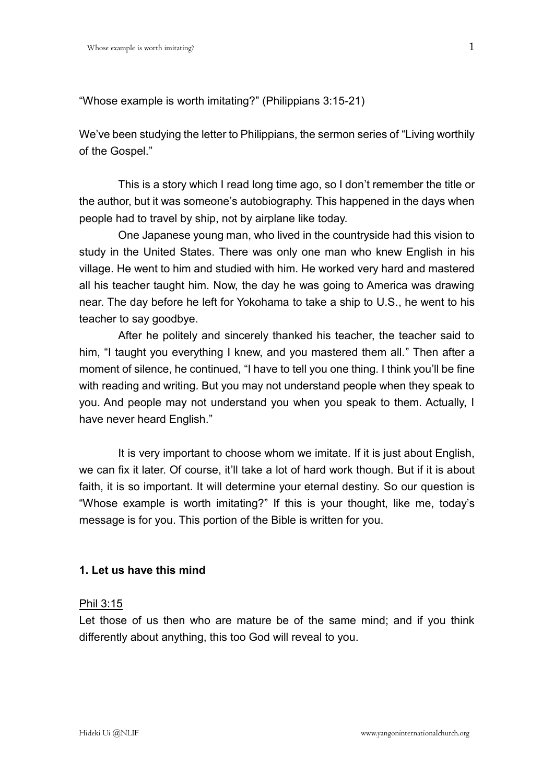"Whose example is worth imitating?" (Philippians 3:15-21)

We've been studying the letter to Philippians, the sermon series of "Living worthily of the Gospel."

This is a story which I read long time ago, so I don't remember the title or the author, but it was someone's autobiography. This happened in the days when people had to travel by ship, not by airplane like today.

One Japanese young man, who lived in the countryside had this vision to study in the United States. There was only one man who knew English in his village. He went to him and studied with him. He worked very hard and mastered all his teacher taught him. Now, the day he was going to America was drawing near. The day before he left for Yokohama to take a ship to U.S., he went to his teacher to say goodbye.

After he politely and sincerely thanked his teacher, the teacher said to him, "I taught you everything I knew, and you mastered them all." Then after a moment of silence, he continued, "I have to tell you one thing. I think you'll be fine with reading and writing. But you may not understand people when they speak to you. And people may not understand you when you speak to them. Actually, I have never heard English."

It is very important to choose whom we imitate. If it is just about English, we can fix it later. Of course, it'll take a lot of hard work though. But if it is about faith, it is so important. It will determine your eternal destiny. So our question is "Whose example is worth imitating?" If this is your thought, like me, today's message is for you. This portion of the Bible is written for you.

## **1. Let us have this mind**

#### Phil 3:15

Let those of us then who are mature be of the same mind; and if you think differently about anything, this too God will reveal to you.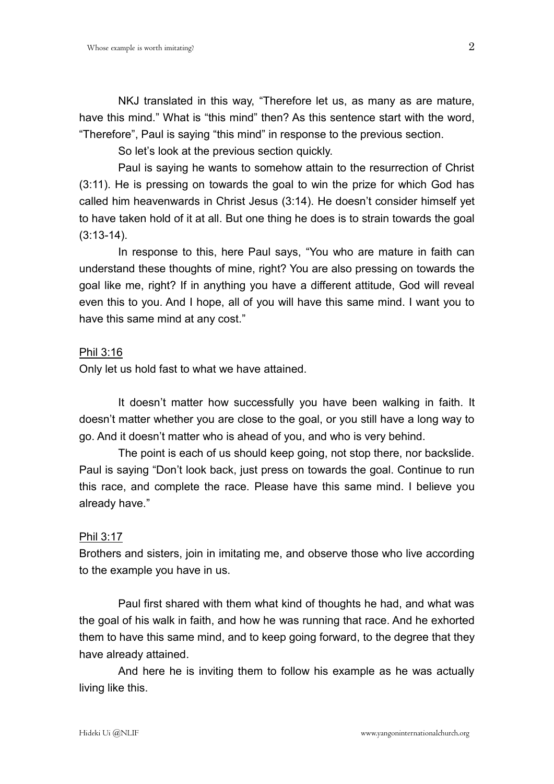NKJ translated in this way, "Therefore let us, as many as are mature, have this mind." What is "this mind" then? As this sentence start with the word, "Therefore", Paul is saying "this mind" in response to the previous section.

So let's look at the previous section quickly.

Paul is saying he wants to somehow attain to the resurrection of Christ (3:11). He is pressing on towards the goal to win the prize for which God has called him heavenwards in Christ Jesus (3:14). He doesn't consider himself yet to have taken hold of it at all. But one thing he does is to strain towards the goal (3:13-14).

In response to this, here Paul says, "You who are mature in faith can understand these thoughts of mine, right? You are also pressing on towards the goal like me, right? If in anything you have a different attitude, God will reveal even this to you. And I hope, all of you will have this same mind. I want you to have this same mind at any cost."

#### Phil 3:16

Only let us hold fast to what we have attained.

It doesn't matter how successfully you have been walking in faith. It doesn't matter whether you are close to the goal, or you still have a long way to go. And it doesn't matter who is ahead of you, and who is very behind.

The point is each of us should keep going, not stop there, nor backslide. Paul is saying "Don't look back, just press on towards the goal. Continue to run this race, and complete the race. Please have this same mind. I believe you already have."

#### Phil 3:17

Brothers and sisters, join in imitating me, and observe those who live according to the example you have in us.

Paul first shared with them what kind of thoughts he had, and what was the goal of his walk in faith, and how he was running that race. And he exhorted them to have this same mind, and to keep going forward, to the degree that they have already attained.

And here he is inviting them to follow his example as he was actually living like this.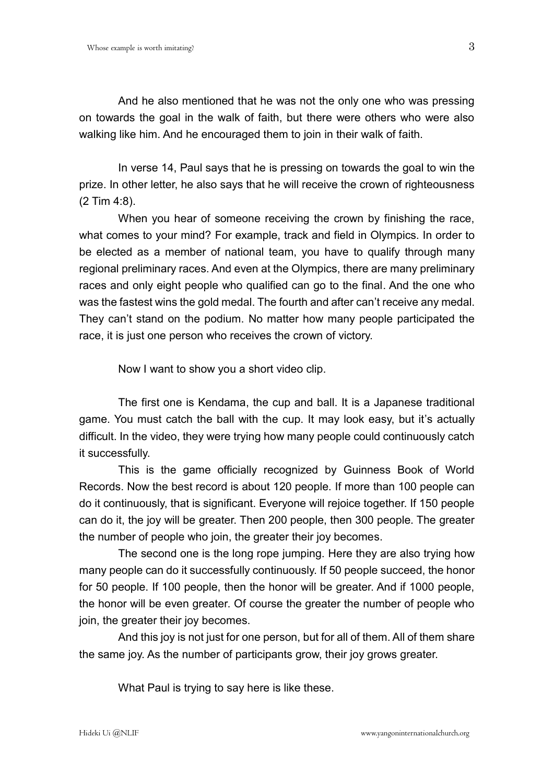And he also mentioned that he was not the only one who was pressing on towards the goal in the walk of faith, but there were others who were also walking like him. And he encouraged them to join in their walk of faith.

In verse 14, Paul says that he is pressing on towards the goal to win the prize. In other letter, he also says that he will receive the crown of righteousness (2 Tim 4:8).

When you hear of someone receiving the crown by finishing the race, what comes to your mind? For example, track and field in Olympics. In order to be elected as a member of national team, you have to qualify through many regional preliminary races. And even at the Olympics, there are many preliminary races and only eight people who qualified can go to the final. And the one who was the fastest wins the gold medal. The fourth and after can't receive any medal. They can't stand on the podium. No matter how many people participated the race, it is just one person who receives the crown of victory.

Now I want to show you a short video clip.

The first one is Kendama, the cup and ball. It is a Japanese traditional game. You must catch the ball with the cup. It may look easy, but it's actually difficult. In the video, they were trying how many people could continuously catch it successfully.

This is the game officially recognized by Guinness Book of World Records. Now the best record is about 120 people. If more than 100 people can do it continuously, that is significant. Everyone will rejoice together. If 150 people can do it, the joy will be greater. Then 200 people, then 300 people. The greater the number of people who join, the greater their joy becomes.

The second one is the long rope jumping. Here they are also trying how many people can do it successfully continuously. If 50 people succeed, the honor for 50 people. If 100 people, then the honor will be greater. And if 1000 people, the honor will be even greater. Of course the greater the number of people who join, the greater their joy becomes.

And this joy is not just for one person, but for all of them. All of them share the same joy. As the number of participants grow, their joy grows greater.

What Paul is trying to say here is like these.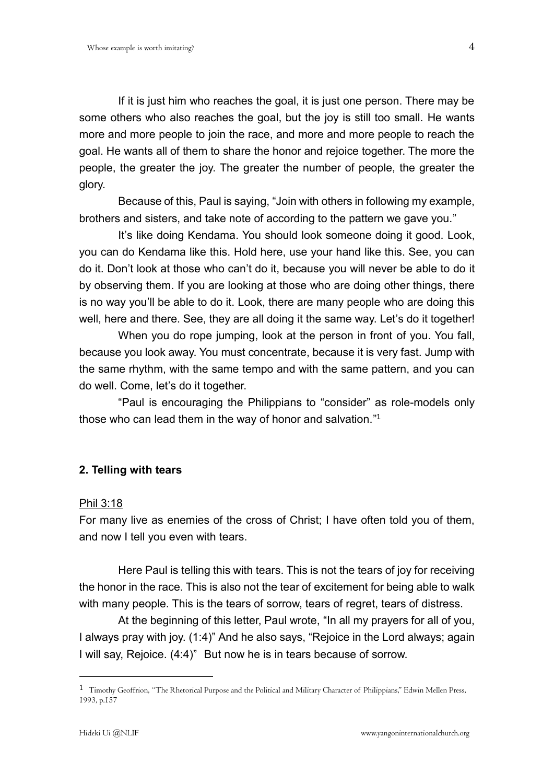If it is just him who reaches the goal, it is just one person. There may be some others who also reaches the goal, but the joy is still too small. He wants more and more people to join the race, and more and more people to reach the goal. He wants all of them to share the honor and rejoice together. The more the people, the greater the joy. The greater the number of people, the greater the glory.

Because of this, Paul is saying, "Join with others in following my example, brothers and sisters, and take note of according to the pattern we gave you."

It's like doing Kendama. You should look someone doing it good. Look, you can do Kendama like this. Hold here, use your hand like this. See, you can do it. Don't look at those who can't do it, because you will never be able to do it by observing them. If you are looking at those who are doing other things, there is no way you'll be able to do it. Look, there are many people who are doing this well, here and there. See, they are all doing it the same way. Let's do it together!

When you do rope jumping, look at the person in front of you. You fall, because you look away. You must concentrate, because it is very fast. Jump with the same rhythm, with the same tempo and with the same pattern, and you can do well. Come, let's do it together.

"Paul is encouraging the Philippians to "consider" as role-models only those who can lead them in the way of honor and salvation." 1

## **2. Telling with tears**

#### Phil 3:18

For many live as enemies of the cross of Christ; I have often told you of them, and now I tell you even with tears.

Here Paul is telling this with tears. This is not the tears of joy for receiving the honor in the race. This is also not the tear of excitement for being able to walk with many people. This is the tears of sorrow, tears of regret, tears of distress.

At the beginning of this letter, Paul wrote, "In all my prayers for all of you, I always pray with joy. (1:4)" And he also says, "Rejoice in the Lord always; again I will say, Rejoice. (4:4)" But now he is in tears because of sorrow.

 $\overline{a}$ 

 $1$  Timothy Geoffrion, "The Rhetorical Purpose and the Political and Military Character of Philippians," Edwin Mellen Press, 1993, p.157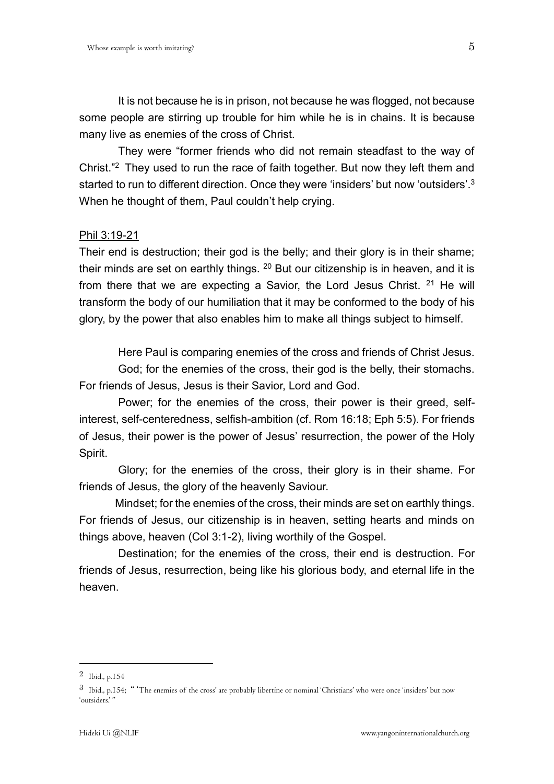It is not because he is in prison, not because he was flogged, not because some people are stirring up trouble for him while he is in chains. It is because many live as enemies of the cross of Christ.

They were "former friends who did not remain steadfast to the way of Christ." <sup>2</sup> They used to run the race of faith together. But now they left them and started to run to different direction. Once they were 'insiders' but now 'outsiders'.<sup>3</sup> When he thought of them, Paul couldn't help crying.

#### Phil 3:19-21

Their end is destruction; their god is the belly; and their glory is in their shame; their minds are set on earthly things.  $20$  But our citizenship is in heaven, and it is from there that we are expecting a Savior, the Lord Jesus Christ.  $21$  He will transform the body of our humiliation that it may be conformed to the body of his glory, by the power that also enables him to make all things subject to himself.

Here Paul is comparing enemies of the cross and friends of Christ Jesus.

God; for the enemies of the cross, their god is the belly, their stomachs. For friends of Jesus, Jesus is their Savior, Lord and God.

Power; for the enemies of the cross, their power is their greed, selfinterest, self-centeredness, selfish-ambition (cf. Rom 16:18; Eph 5:5). For friends of Jesus, their power is the power of Jesus' resurrection, the power of the Holy Spirit.

Glory; for the enemies of the cross, their glory is in their shame. For friends of Jesus, the glory of the heavenly Saviour.

Mindset; for the enemies of the cross, their minds are set on earthly things. For friends of Jesus, our citizenship is in heaven, setting hearts and minds on things above, heaven (Col 3:1-2), living worthily of the Gospel.

Destination; for the enemies of the cross, their end is destruction. For friends of Jesus, resurrection, being like his glorious body, and eternal life in the heaven.

1

<sup>2</sup> Ibid., p.154

<sup>3</sup> Ibid., p.154; "'The enemies of the cross' are probably libertine or nominal 'Christians' who were once 'insiders' but now 'outsiders.' "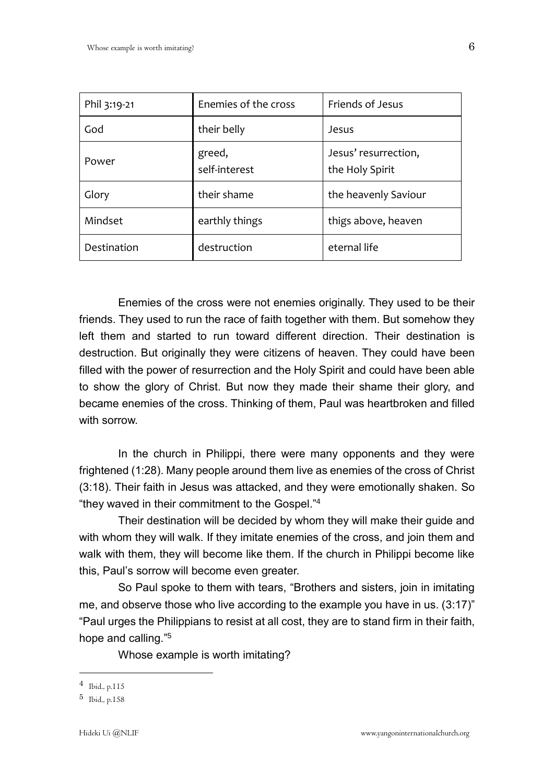| Phil 3:19-21 | Enemies of the cross    | Friends of Jesus                        |
|--------------|-------------------------|-----------------------------------------|
| God          | their belly             | Jesus                                   |
| Power        | greed,<br>self-interest | Jesus' resurrection,<br>the Holy Spirit |
| Glory        | their shame             | the heavenly Saviour                    |
| Mindset      | earthly things          | thigs above, heaven                     |
| Destination  | destruction             | eternal life                            |

Enemies of the cross were not enemies originally. They used to be their friends. They used to run the race of faith together with them. But somehow they left them and started to run toward different direction. Their destination is destruction. But originally they were citizens of heaven. They could have been filled with the power of resurrection and the Holy Spirit and could have been able to show the glory of Christ. But now they made their shame their glory, and became enemies of the cross. Thinking of them, Paul was heartbroken and filled with sorrow.

In the church in Philippi, there were many opponents and they were frightened (1:28). Many people around them live as enemies of the cross of Christ (3:18). Their faith in Jesus was attacked, and they were emotionally shaken. So "they waved in their commitment to the Gospel." 4

Their destination will be decided by whom they will make their guide and with whom they will walk. If they imitate enemies of the cross, and join them and walk with them, they will become like them. If the church in Philippi become like this, Paul's sorrow will become even greater.

So Paul spoke to them with tears, "Brothers and sisters, join in imitating me, and observe those who live according to the example you have in us. (3:17)" "Paul urges the Philippians to resist at all cost, they are to stand firm in their faith, hope and calling."<sup>5</sup>

Whose example is worth imitating?

 $\overline{a}$ 

<sup>4</sup> Ibid., p.115

<sup>5</sup> Ibid., p.158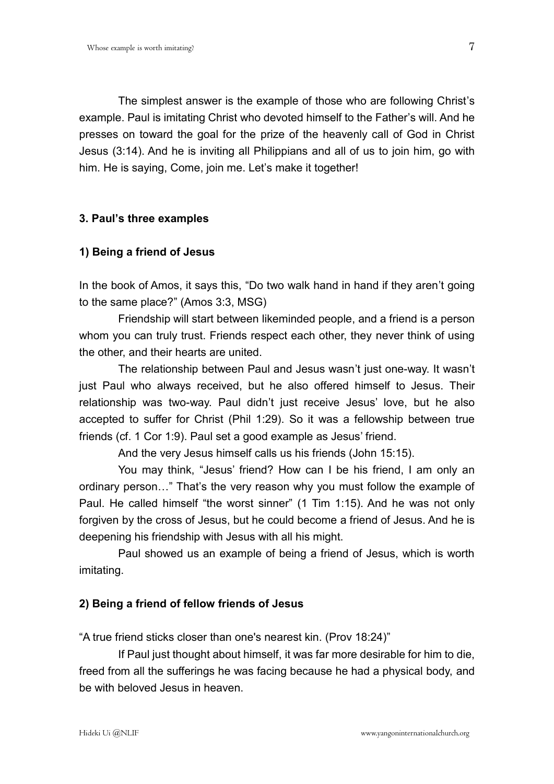The simplest answer is the example of those who are following Christ's example. Paul is imitating Christ who devoted himself to the Father's will. And he presses on toward the goal for the prize of the heavenly call of God in Christ Jesus (3:14). And he is inviting all Philippians and all of us to join him, go with

him. He is saying, Come, join me. Let's make it together!

## **3. Paul's three examples**

## **1) Being a friend of Jesus**

In the book of Amos, it says this, "Do two walk hand in hand if they aren't going to the same place?" (Amos 3:3, MSG)

Friendship will start between likeminded people, and a friend is a person whom you can truly trust. Friends respect each other, they never think of using the other, and their hearts are united.

The relationship between Paul and Jesus wasn't just one-way. It wasn't just Paul who always received, but he also offered himself to Jesus. Their relationship was two-way. Paul didn't just receive Jesus' love, but he also accepted to suffer for Christ (Phil 1:29). So it was a fellowship between true friends (cf. 1 Cor 1:9). Paul set a good example as Jesus' friend.

And the very Jesus himself calls us his friends (John 15:15).

You may think, "Jesus' friend? How can I be his friend, I am only an ordinary person…" That's the very reason why you must follow the example of Paul. He called himself "the worst sinner" (1 Tim 1:15). And he was not only forgiven by the cross of Jesus, but he could become a friend of Jesus. And he is deepening his friendship with Jesus with all his might.

Paul showed us an example of being a friend of Jesus, which is worth imitating.

## **2) Being a friend of fellow friends of Jesus**

"A true friend sticks closer than one's nearest kin. (Prov 18:24)"

If Paul just thought about himself, it was far more desirable for him to die, freed from all the sufferings he was facing because he had a physical body, and be with beloved Jesus in heaven.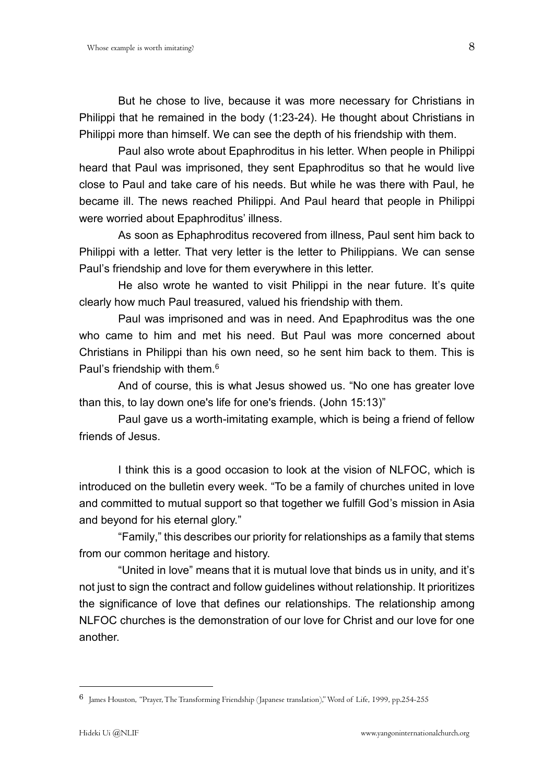But he chose to live, because it was more necessary for Christians in Philippi that he remained in the body (1:23-24). He thought about Christians in Philippi more than himself. We can see the depth of his friendship with them.

Paul also wrote about Epaphroditus in his letter. When people in Philippi heard that Paul was imprisoned, they sent Epaphroditus so that he would live close to Paul and take care of his needs. But while he was there with Paul, he became ill. The news reached Philippi. And Paul heard that people in Philippi were worried about Epaphroditus' illness.

As soon as Ephaphroditus recovered from illness, Paul sent him back to Philippi with a letter. That very letter is the letter to Philippians. We can sense Paul's friendship and love for them everywhere in this letter.

He also wrote he wanted to visit Philippi in the near future. It's quite clearly how much Paul treasured, valued his friendship with them.

Paul was imprisoned and was in need. And Epaphroditus was the one who came to him and met his need. But Paul was more concerned about Christians in Philippi than his own need, so he sent him back to them. This is Paul's friendship with them.<sup>6</sup>

And of course, this is what Jesus showed us. "No one has greater love than this, to lay down one's life for one's friends. (John 15:13)"

Paul gave us a worth-imitating example, which is being a friend of fellow friends of Jesus.

I think this is a good occasion to look at the vision of NLFOC, which is introduced on the bulletin every week. "To be a family of churches united in love and committed to mutual support so that together we fulfill God's mission in Asia and beyond for his eternal glory."

"Family," this describes our priority for relationships as a family that stems from our common heritage and history.

"United in love" means that it is mutual love that binds us in unity, and it's not just to sign the contract and follow guidelines without relationship. It prioritizes the significance of love that defines our relationships. The relationship among NLFOC churches is the demonstration of our love for Christ and our love for one another.

1

<sup>6</sup> James Houston, "Prayer, The Transforming Friendship (Japanese translation)," Word of Life, 1999, pp.254-255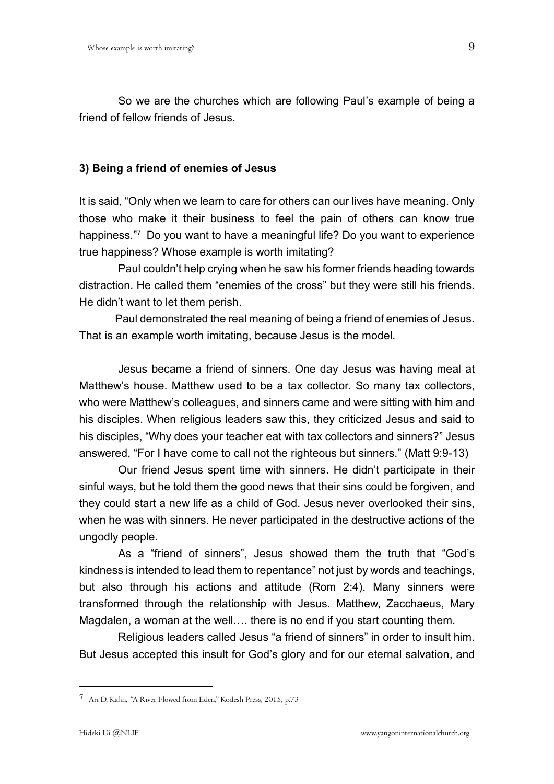So we are the churches which are following Paul's example of being a friend of fellow friends of Jesus.

# **3) Being a friend of enemies of Jesus**

It is said, "Only when we learn to care for others can our lives have meaning. Only those who make it their business to feel the pain of others can know true happiness."<sup>7</sup> Do you want to have a meaningful life? Do you want to experience true happiness? Whose example is worth imitating?

Paul couldn't help crying when he saw his former friends heading towards distraction. He called them "enemies of the cross" but they were still his friends. He didn't want to let them perish.

Paul demonstrated the real meaning of being a friend of enemies of Jesus. That is an example worth imitating, because Jesus is the model.

Jesus became a friend of sinners. One day Jesus was having meal at Matthew's house. Matthew used to be a tax collector. So many tax collectors, who were Matthew's colleagues, and sinners came and were sitting with him and his disciples. When religious leaders saw this, they criticized Jesus and said to his disciples, "Why does your teacher eat with tax collectors and sinners?" Jesus answered, "For I have come to call not the righteous but sinners." (Matt 9:9-13)

Our friend Jesus spent time with sinners. He didn't participate in their sinful ways, but he told them the good news that their sins could be forgiven, and they could start a new life as a child of God. Jesus never overlooked their sins, when he was with sinners. He never participated in the destructive actions of the ungodly people.

As a "friend of sinners", Jesus showed them the truth that "God's kindness is intended to lead them to repentance" not just by words and teachings, but also through his actions and attitude (Rom 2:4). Many sinners were transformed through the relationship with Jesus. Matthew, Zacchaeus, Mary Magdalen, a woman at the well…. there is no end if you start counting them.

Religious leaders called Jesus "a friend of sinners" in order to insult him. But Jesus accepted this insult for God's glory and for our eternal salvation, and

1

<sup>7</sup> Ari D. Kahn, "A River Flowed from Eden," Kodesh Press, 2015, p.73